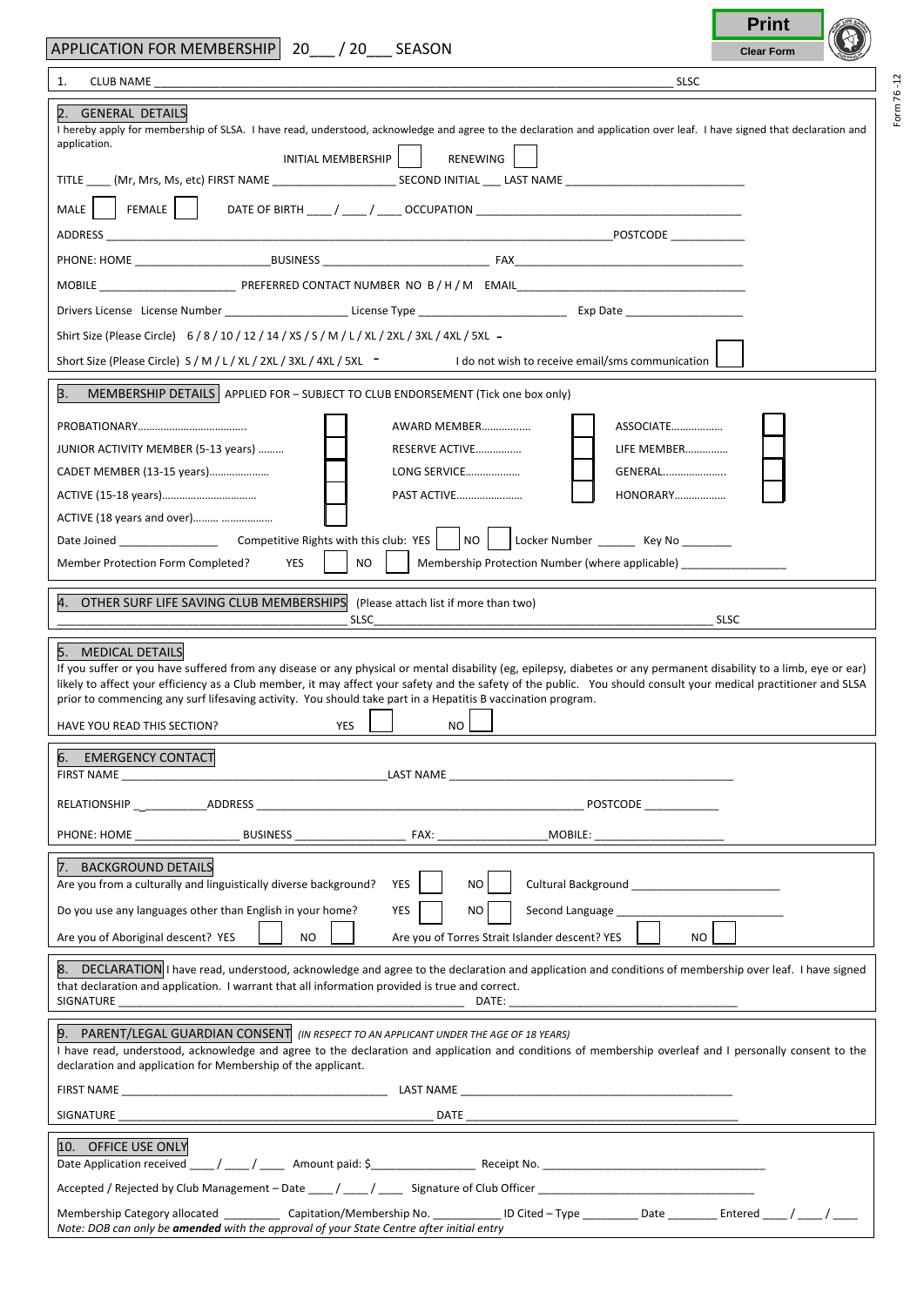|                                                                                                                                                                                                                                                                                                                                                                                                                                                                                                                                                                                                                                                                                                                                                                    | <b>Print</b>      |  |
|--------------------------------------------------------------------------------------------------------------------------------------------------------------------------------------------------------------------------------------------------------------------------------------------------------------------------------------------------------------------------------------------------------------------------------------------------------------------------------------------------------------------------------------------------------------------------------------------------------------------------------------------------------------------------------------------------------------------------------------------------------------------|-------------------|--|
| APPLICATION FOR MEMBERSHIP 20 / 20 SEASON                                                                                                                                                                                                                                                                                                                                                                                                                                                                                                                                                                                                                                                                                                                          | <b>Clear Form</b> |  |
| 1.<br><b>SLSC</b>                                                                                                                                                                                                                                                                                                                                                                                                                                                                                                                                                                                                                                                                                                                                                  |                   |  |
| 2. GENERAL DETAILS<br>I hereby apply for membership of SLSA. I have read, understood, acknowledge and agree to the declaration and application over leaf. I have signed that declaration and<br>application.                                                                                                                                                                                                                                                                                                                                                                                                                                                                                                                                                       |                   |  |
| RENEWING<br>INITIAL MEMBERSHIP                                                                                                                                                                                                                                                                                                                                                                                                                                                                                                                                                                                                                                                                                                                                     |                   |  |
|                                                                                                                                                                                                                                                                                                                                                                                                                                                                                                                                                                                                                                                                                                                                                                    |                   |  |
| MALE                                                                                                                                                                                                                                                                                                                                                                                                                                                                                                                                                                                                                                                                                                                                                               |                   |  |
|                                                                                                                                                                                                                                                                                                                                                                                                                                                                                                                                                                                                                                                                                                                                                                    |                   |  |
|                                                                                                                                                                                                                                                                                                                                                                                                                                                                                                                                                                                                                                                                                                                                                                    |                   |  |
|                                                                                                                                                                                                                                                                                                                                                                                                                                                                                                                                                                                                                                                                                                                                                                    |                   |  |
| Shirt Size (Please Circle) $6/8/10/12/14/XS/S/M/L/XL/2XL/3XL/5XL -$                                                                                                                                                                                                                                                                                                                                                                                                                                                                                                                                                                                                                                                                                                |                   |  |
| Short Size (Please Circle) S / M / L / XL / 2XL / 3XL / 4XL / 5XL - I do not wish to receive email/sms communication                                                                                                                                                                                                                                                                                                                                                                                                                                                                                                                                                                                                                                               |                   |  |
| 3.<br>MEMBERSHIP DETAILS   APPLIED FOR - SUBJECT TO CLUB ENDORSEMENT (Tick one box only)                                                                                                                                                                                                                                                                                                                                                                                                                                                                                                                                                                                                                                                                           |                   |  |
| ASSOCIATE<br>AWARD MEMBER<br>JUNIOR ACTIVITY MEMBER (5-13 years)<br>RESERVE ACTIVE<br>LIFE MEMBER<br>LONG SERVICE<br>GENERAL<br>CADET MEMBER (13-15 years)<br>PAST ACTIVE<br><b>HONORARY</b><br>ACTIVE (18 years and over)<br>NO I<br>Locker Number _________ Key No ________                                                                                                                                                                                                                                                                                                                                                                                                                                                                                      |                   |  |
| NO.<br>Member Protection Form Completed?<br>YES<br>Membership Protection Number (where applicable)                                                                                                                                                                                                                                                                                                                                                                                                                                                                                                                                                                                                                                                                 |                   |  |
| 4. OTHER SURF LIFE SAVING CLUB MEMBERSHIPS<br>(Please attach list if more than two)<br><b>SLSC</b>                                                                                                                                                                                                                                                                                                                                                                                                                                                                                                                                                                                                                                                                 | <b>SLSC</b>       |  |
| 5. MEDICAL DETAILS<br>If you suffer or you have suffered from any disease or any physical or mental disability (eg, epilepsy, diabetes or any permanent disability to a limb, eye or ear)<br>likely to affect your efficiency as a Club member, it may affect your safety and the safety of the public. You should consult your medical practitioner and SLSA<br>prior to commencing any surf lifesaving activity. You should take part in a Hepatitis B vaccination program.<br><u>in the contract of the contract of the contract of the contract of the contract of the contract of the contract of the contract of the contract of the contract of the contract of the contract of the contract of the contra</u><br>HAVE YOU READ THIS SECTION?<br>YES<br>NO. |                   |  |
| 6. EMERGENCY CONTACT<br>FIRST NAME<br>the control of the control of the control of the control of the control of the control of                                                                                                                                                                                                                                                                                                                                                                                                                                                                                                                                                                                                                                    |                   |  |
| <b>POSTCODE</b>                                                                                                                                                                                                                                                                                                                                                                                                                                                                                                                                                                                                                                                                                                                                                    |                   |  |
| BUSINESS<br>FAX:<br>_MOBILE: _________________________                                                                                                                                                                                                                                                                                                                                                                                                                                                                                                                                                                                                                                                                                                             |                   |  |
| 7. BACKGROUND DETAILS<br>Are you from a culturally and linguistically diverse background?<br>YES<br>NO.<br>Cultural Background Management Cultural Background                                                                                                                                                                                                                                                                                                                                                                                                                                                                                                                                                                                                      |                   |  |
| Do you use any languages other than English in your home?<br>YES<br>NO<br>Second Language                                                                                                                                                                                                                                                                                                                                                                                                                                                                                                                                                                                                                                                                          |                   |  |
| <b>NO</b><br>Are you of Torres Strait Islander descent? YES<br>Are you of Aboriginal descent? YES<br>NO.                                                                                                                                                                                                                                                                                                                                                                                                                                                                                                                                                                                                                                                           |                   |  |
| 8. DECLARATION I have read, understood, acknowledge and agree to the declaration and application and conditions of membership over leaf. I have signed<br>that declaration and application. I warrant that all information provided is true and correct.<br>SIGNATURE<br>DATE:                                                                                                                                                                                                                                                                                                                                                                                                                                                                                     |                   |  |
| 9. PARENT/LEGAL GUARDIAN CONSENT (IN RESPECT TO AN APPLICANT UNDER THE AGE OF 18 YEARS)<br>I have read, understood, acknowledge and agree to the declaration and application and conditions of membership overleaf and I personally consent to the<br>declaration and application for Membership of the applicant.                                                                                                                                                                                                                                                                                                                                                                                                                                                 |                   |  |
| FIRST NAME LAST NAME LAST NAME LAST NAME LAST NAME                                                                                                                                                                                                                                                                                                                                                                                                                                                                                                                                                                                                                                                                                                                 |                   |  |
|                                                                                                                                                                                                                                                                                                                                                                                                                                                                                                                                                                                                                                                                                                                                                                    |                   |  |
| 10. OFFICE USE ONLY                                                                                                                                                                                                                                                                                                                                                                                                                                                                                                                                                                                                                                                                                                                                                |                   |  |
|                                                                                                                                                                                                                                                                                                                                                                                                                                                                                                                                                                                                                                                                                                                                                                    |                   |  |
|                                                                                                                                                                                                                                                                                                                                                                                                                                                                                                                                                                                                                                                                                                                                                                    |                   |  |

Form 76 -12

Form 76-12

г